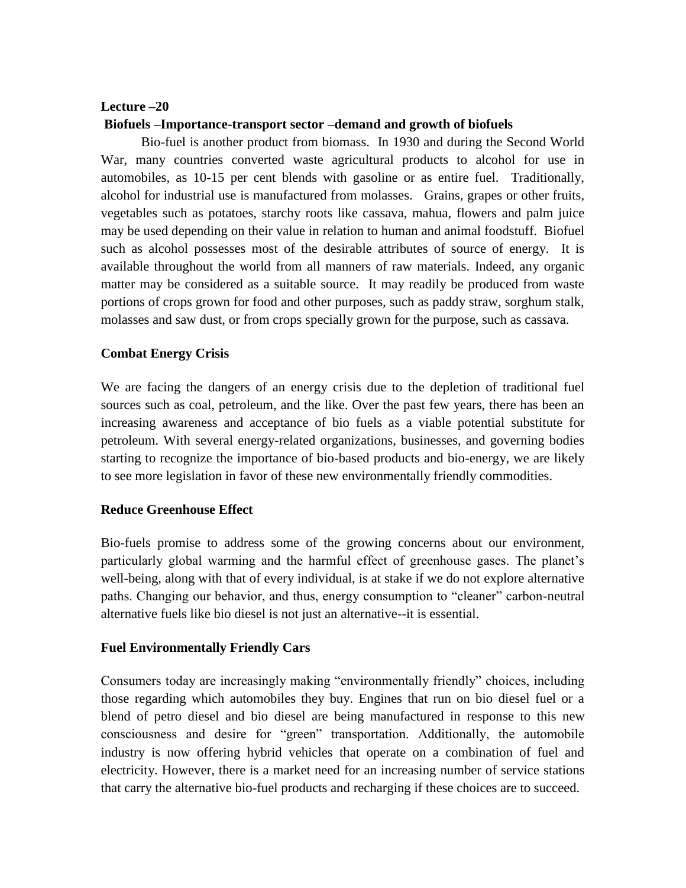### **Lecture –20**

#### **Biofuels –Importance-transport sector –demand and growth of biofuels**

Bio-fuel is another product from biomass. In 1930 and during the Second World War, many countries converted waste agricultural products to alcohol for use in automobiles, as 10-15 per cent blends with gasoline or as entire fuel. Traditionally, alcohol for industrial use is manufactured from molasses. Grains, grapes or other fruits, vegetables such as potatoes, starchy roots like cassava, mahua, flowers and palm juice may be used depending on their value in relation to human and animal foodstuff. Biofuel such as alcohol possesses most of the desirable attributes of source of energy. It is available throughout the world from all manners of raw materials. Indeed, any organic matter may be considered as a suitable source. It may readily be produced from waste portions of crops grown for food and other purposes, such as paddy straw, sorghum stalk, molasses and saw dust, or from crops specially grown for the purpose, such as cassava.

#### **Combat Energy Crisis**

We are facing the dangers of an energy crisis due to the depletion of traditional fuel sources such as coal, petroleum, and the like. Over the past few years, there has been an increasing awareness and acceptance of bio fuels as a viable potential substitute for petroleum. With several energy-related organizations, businesses, and governing bodies starting to recognize the importance of bio-based products and bio-energy, we are likely to see more legislation in favor of these new environmentally friendly commodities.

# **Reduce Greenhouse Effect**

Bio-fuels promise to address some of the growing concerns about our environment, particularly global warming and the harmful effect of greenhouse gases. The planet's well-being, along with that of every individual, is at stake if we do not explore alternative paths. Changing our behavior, and thus, energy consumption to "cleaner" carbon-neutral alternative fuels like bio diesel is not just an alternative--it is essential.

# **Fuel Environmentally Friendly Cars**

Consumers today are increasingly making "environmentally friendly" choices, including those regarding which automobiles they buy. Engines that run on bio diesel fuel or a blend of petro diesel and bio diesel are being manufactured in response to this new consciousness and desire for "green" transportation. Additionally, the automobile industry is now offering hybrid vehicles that operate on a combination of fuel and electricity. However, there is a market need for an increasing number of service stations that carry the alternative bio-fuel products and recharging if these choices are to succeed.